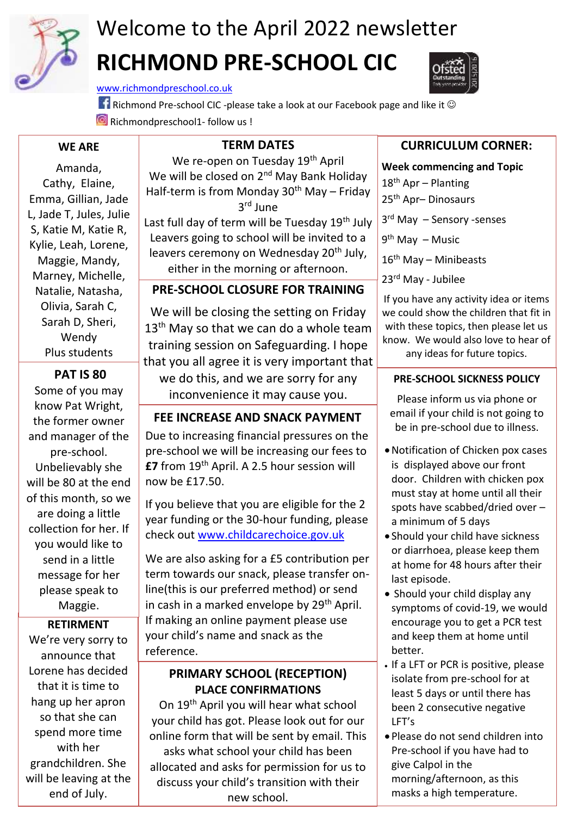

# Welcome to the April 2022 newsletter **RICHMOND PRE-SCHOOL CIC**

[www.richmondpreschool.co.uk](http://www.richmondpreschool.co.uk/)

**Richmond Pre-school CIC -please take a look at our Facebook page and like it ©** Richmondpreschool1- follow us !

#### **WE ARE**

L, Jade T, Jules, Julie Amanda, Cathy, Elaine, Emma, Gillian, Jade S, Katie M, Katie R, Kylie, Leah, Lorene, Maggie, Mandy, Marney, Michelle, Natalie, Natasha, Olivia, Sarah C, Sarah D, Sheri, Wendy Plus students

### **PAT IS 80**

Some of you may know Pat Wright, the former owner and manager of the pre-school. Unbelievably she will be 80 at the end of this month, so we are doing a little collection for her. If you would like to send in a little message for her please speak to Maggie.

#### **RETIRMENT**

We're very sorry to announce that Lorene has decided that it is time to hang up her apron so that she can spend more time with her grandchildren. She will be leaving at the end of July.

## **TERM DATES**

We re-open on Tuesday 19<sup>th</sup> April We will be closed on 2<sup>nd</sup> May Bank Holiday Half-term is from Monday 30<sup>th</sup> May – Friday 3 rd June

Last full day of term will be Tuesday 19<sup>th</sup> July Leavers going to school will be invited to a leavers ceremony on Wednesday 20<sup>th</sup> July, either in the morning or afternoon.

### **PRE-SCHOOL CLOSURE FOR TRAINING**

We will be closing the setting on Friday  $13<sup>th</sup>$  May so that we can do a whole team training session on Safeguarding. I hope that you all agree it is very important that we do this, and we are sorry for any inconvenience it may cause you.

#### **FEE INCREASE AND SNACK PAYMENT**

Due to increasing financial pressures on the pre-school we will be increasing our fees to **£7** from 19th April. A 2.5 hour session will now be £17.50.

If you believe that you are eligible for the 2 year funding or the 30-hour funding, please check out [www.childcarechoice.gov.uk](http://www.childcarechoice.gov.uk/)

We are also asking for a £5 contribution per term towards our snack, please transfer online(this is our preferred method) or send in cash in a marked envelope by  $29<sup>th</sup>$  April. If making an online payment please use your child's name and snack as the reference.

#### **PRIMARY SCHOOL (RECEPTION) PLACE CONFIRMATIONS**

On 19th April you will hear what school your child has got. Please look out for our online form that will be sent by email. This asks what school your child has been allocated and asks for permission for us to discuss your child's transition with their new school.

## **CURRICULUM CORNER:**

**Week commencing and Topic** 18<sup>th</sup> Apr – Planting 25<sup>th</sup> Apr-Dinosaurs 3 rd May – Sensory -senses 9<sup>th</sup> May – Music 16<sup>th</sup> May – Minibeasts 23rd May - Jubilee

If you have any activity idea or items we could show the children that fit in with these topics, then please let us know. We would also love to hear of any ideas for future topics.

#### **PRE-SCHOOL SICKNESS POLICY**

Please inform us via phone or email if your child is not going to be in pre-school due to illness.

- •Notification of Chicken pox cases is displayed above our front door. Children with chicken pox must stay at home until all their spots have scabbed/dried over – a minimum of 5 days
- Should your child have sickness or diarrhoea, please keep them at home for 48 hours after their last episode.
- Should your child display any symptoms of covid-19, we would encourage you to get a PCR test and keep them at home until better.
- If a LFT or PCR is positive, please isolate from pre-school for at least 5 days or until there has been 2 consecutive negative LFT's
- Please do not send children into Pre-school if you have had to give Calpol in the morning/afternoon, as this masks a high temperature.